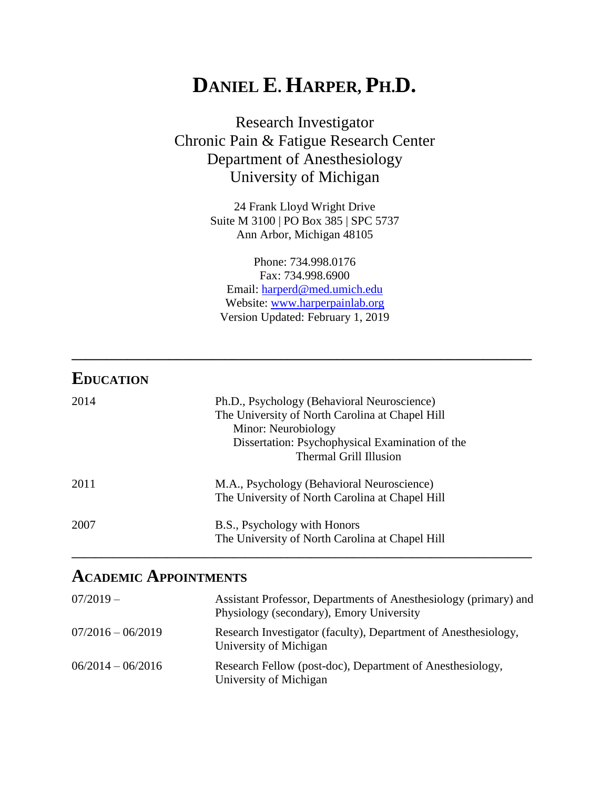# **DANIEL E. HARPER, PH.D.**

Research Investigator Chronic Pain & Fatigue Research Center Department of Anesthesiology University of Michigan

> 24 Frank Lloyd Wright Drive Suite M 3100 | PO Box 385 | SPC 5737 Ann Arbor, Michigan 48105

Phone: 734.998.0176 Fax: 734.998.6900 Email: [harperd@med.umich.edu](mailto:harperd@med.umich.edu) Website: [www.harperpainlab.org](http://www.harperpainlab.org/) Version Updated: February 1, 2019

**\_\_\_\_\_\_\_\_\_\_\_\_\_\_\_\_\_\_\_\_\_\_\_\_\_\_\_\_\_\_\_\_\_\_\_\_\_\_\_\_\_\_\_\_\_\_\_\_\_\_\_\_\_\_\_\_\_\_\_\_\_\_\_\_\_\_**

| <b>EDUCATION</b> |                                                                                                                                                                                                    |
|------------------|----------------------------------------------------------------------------------------------------------------------------------------------------------------------------------------------------|
| 2014             | Ph.D., Psychology (Behavioral Neuroscience)<br>The University of North Carolina at Chapel Hill<br>Minor: Neurobiology<br>Dissertation: Psychophysical Examination of the<br>Thermal Grill Illusion |
| 2011             | M.A., Psychology (Behavioral Neuroscience)<br>The University of North Carolina at Chapel Hill                                                                                                      |
| 2007             | B.S., Psychology with Honors<br>The University of North Carolina at Chapel Hill                                                                                                                    |

## **ACADEMIC APPOINTMENTS**

| $07/2019 -$         | Assistant Professor, Departments of Anesthesiology (primary) and<br>Physiology (secondary), Emory University |
|---------------------|--------------------------------------------------------------------------------------------------------------|
| $07/2016 - 06/2019$ | Research Investigator (faculty), Department of Anesthesiology,<br>University of Michigan                     |
| $06/2014 - 06/2016$ | Research Fellow (post-doc), Department of Anesthesiology,<br>University of Michigan                          |

**\_\_\_\_\_\_\_\_\_\_\_\_\_\_\_\_\_\_\_\_\_\_\_\_\_\_\_\_\_\_\_\_\_\_\_\_\_\_\_\_\_\_\_\_\_\_\_\_\_\_\_\_\_\_\_\_\_\_\_\_\_\_\_\_\_\_\_\_\_\_\_\_\_\_\_\_\_**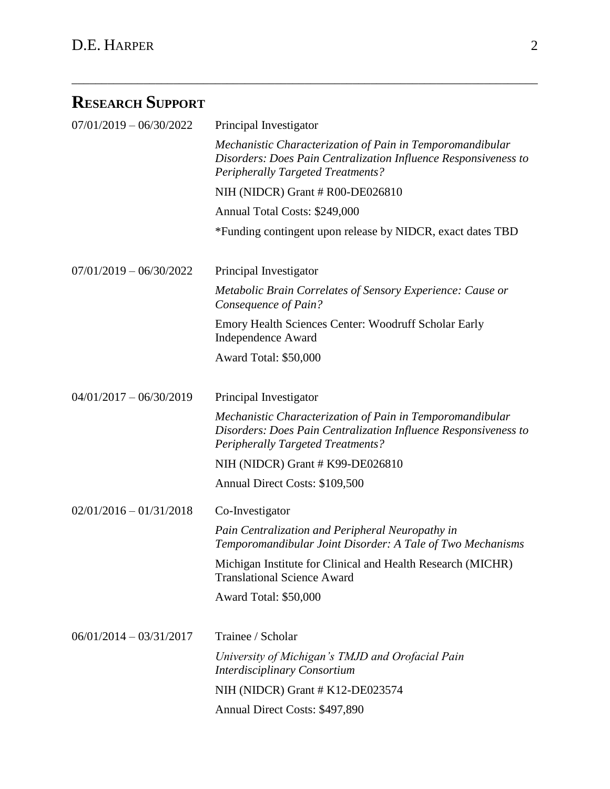## **RESEARCH SUPPORT**

| $07/01/2019 - 06/30/2022$ | Principal Investigator                                                                                                                                                   |
|---------------------------|--------------------------------------------------------------------------------------------------------------------------------------------------------------------------|
|                           | Mechanistic Characterization of Pain in Temporomandibular<br>Disorders: Does Pain Centralization Influence Responsiveness to<br><b>Peripherally Targeted Treatments?</b> |
|                           | NIH (NIDCR) Grant # R00-DE026810                                                                                                                                         |
|                           | Annual Total Costs: \$249,000                                                                                                                                            |
|                           | *Funding contingent upon release by NIDCR, exact dates TBD                                                                                                               |
| $07/01/2019 - 06/30/2022$ | Principal Investigator                                                                                                                                                   |
|                           | Metabolic Brain Correlates of Sensory Experience: Cause or<br>Consequence of Pain?                                                                                       |
|                           | Emory Health Sciences Center: Woodruff Scholar Early<br>Independence Award                                                                                               |
|                           | Award Total: \$50,000                                                                                                                                                    |
| $04/01/2017 - 06/30/2019$ | Principal Investigator                                                                                                                                                   |
|                           | Mechanistic Characterization of Pain in Temporomandibular<br>Disorders: Does Pain Centralization Influence Responsiveness to<br><b>Peripherally Targeted Treatments?</b> |
|                           | NIH (NIDCR) Grant # K99-DE026810                                                                                                                                         |
|                           | Annual Direct Costs: \$109,500                                                                                                                                           |
| $02/01/2016 - 01/31/2018$ | Co-Investigator                                                                                                                                                          |
|                           | Pain Centralization and Peripheral Neuropathy in<br>Temporomandibular Joint Disorder: A Tale of Two Mechanisms                                                           |
|                           | Michigan Institute for Clinical and Health Research (MICHR)<br><b>Translational Science Award</b>                                                                        |
|                           | Award Total: \$50,000                                                                                                                                                    |
| $06/01/2014 - 03/31/2017$ | Trainee / Scholar                                                                                                                                                        |
|                           | University of Michigan's TMJD and Orofacial Pain<br>Interdisciplinary Consortium                                                                                         |
|                           | NIH (NIDCR) Grant # K12-DE023574                                                                                                                                         |
|                           | Annual Direct Costs: \$497,890                                                                                                                                           |

\_\_\_\_\_\_\_\_\_\_\_\_\_\_\_\_\_\_\_\_\_\_\_\_\_\_\_\_\_\_\_\_\_\_\_\_\_\_\_\_\_\_\_\_\_\_\_\_\_\_\_\_\_\_\_\_\_\_\_\_\_\_\_\_\_\_\_\_\_\_\_\_\_\_\_\_\_\_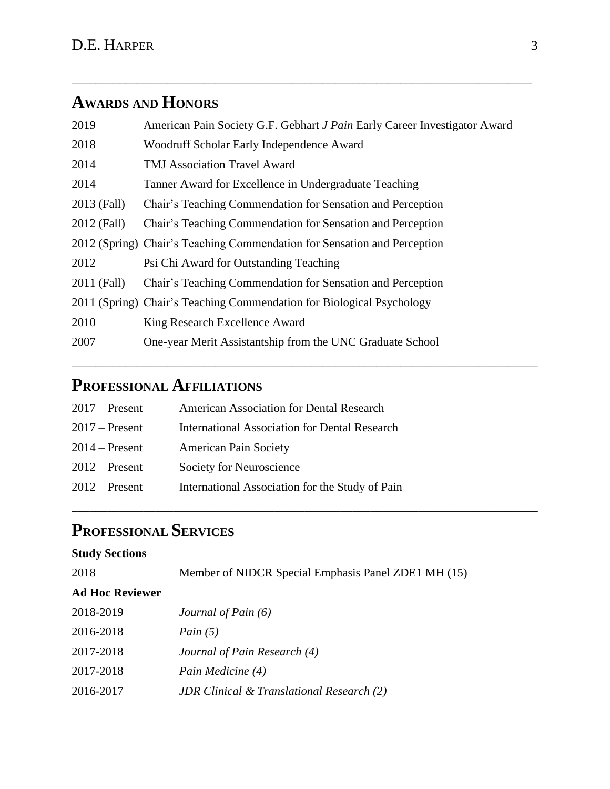## **AWARDS AND HONORS**

| 2019        | American Pain Society G.F. Gebhart J Pain Early Career Investigator Award |
|-------------|---------------------------------------------------------------------------|
| 2018        | Woodruff Scholar Early Independence Award                                 |
| 2014        | <b>TMJ Association Travel Award</b>                                       |
| 2014        | Tanner Award for Excellence in Undergraduate Teaching                     |
| 2013 (Fall) | Chair's Teaching Commendation for Sensation and Perception                |
| 2012 (Fall) | Chair's Teaching Commendation for Sensation and Perception                |
|             | 2012 (Spring) Chair's Teaching Commendation for Sensation and Perception  |
| 2012        | Psi Chi Award for Outstanding Teaching                                    |
| 2011 (Fall) | Chair's Teaching Commendation for Sensation and Perception                |
|             | 2011 (Spring) Chair's Teaching Commendation for Biological Psychology     |
| 2010        | King Research Excellence Award                                            |
| 2007        | One-year Merit Assistantship from the UNC Graduate School                 |
|             |                                                                           |

\_\_\_\_\_\_\_\_\_\_\_\_\_\_\_\_\_\_\_\_\_\_\_\_\_\_\_\_\_\_\_\_\_\_\_\_\_\_\_\_\_\_\_\_\_\_\_\_\_\_\_\_\_\_\_\_\_\_\_\_\_\_\_\_\_\_\_\_\_\_\_\_\_\_\_\_\_\_

\_\_\_\_\_\_\_\_\_\_\_\_\_\_\_\_\_\_\_\_\_\_\_\_\_\_\_\_\_\_\_\_\_\_\_\_\_\_\_\_\_\_\_\_\_\_\_\_\_\_\_\_\_\_\_\_\_\_\_\_\_\_\_\_\_\_\_\_\_\_\_\_\_\_\_\_\_\_

\_\_\_\_\_\_\_\_\_\_\_\_\_\_\_\_\_\_\_\_\_\_\_\_\_\_\_\_\_\_\_\_\_\_\_\_\_\_\_\_\_\_\_\_\_\_\_\_\_\_\_\_\_\_\_\_\_\_\_\_\_\_\_\_\_\_\_\_\_\_\_\_\_\_\_\_\_

## **PROFESSIONAL AFFILIATIONS**

| $2017$ – Present | American Association for Dental Research             |
|------------------|------------------------------------------------------|
| $2017$ – Present | <b>International Association for Dental Research</b> |
| $2014$ – Present | <b>American Pain Society</b>                         |
| $2012$ – Present | Society for Neuroscience                             |
| $2012$ – Present | International Association for the Study of Pain      |
|                  |                                                      |

## **PROFESSIONAL SERVICES**

### **Study Sections**

| 2018                   | Member of NIDCR Special Emphasis Panel ZDE1 MH (15) |
|------------------------|-----------------------------------------------------|
| <b>Ad Hoc Reviewer</b> |                                                     |
| 2018-2019              | Journal of Pain $(6)$                               |
| 2016-2018              | Pain $(5)$                                          |
| 2017-2018              | Journal of Pain Research (4)                        |
| 2017-2018              | Pain Medicine (4)                                   |
| 2016-2017              | <b>JDR</b> Clinical & Translational Research (2)    |
|                        |                                                     |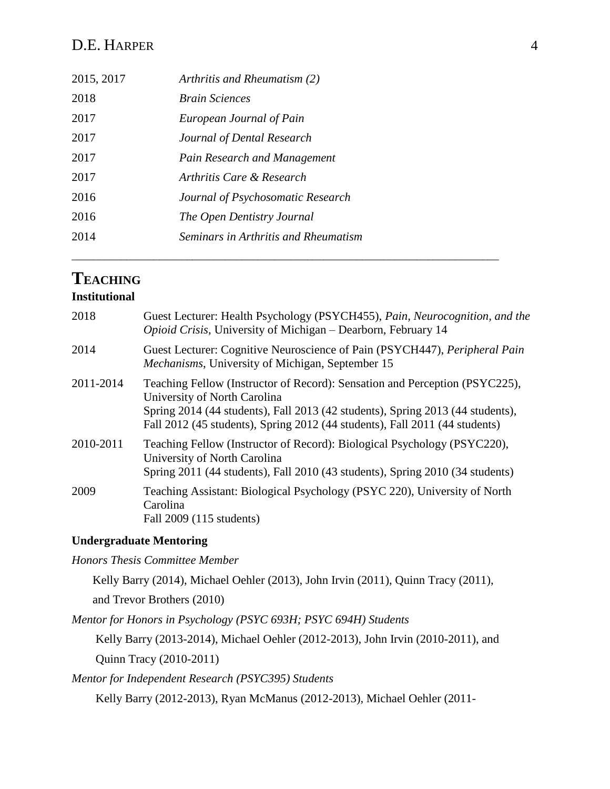### D.E. HARPER 4

| 2015, 2017 | Arthritis and Rheumatism (2)         |  |
|------------|--------------------------------------|--|
| 2018       | <b>Brain Sciences</b>                |  |
| 2017       | European Journal of Pain             |  |
| 2017       | Journal of Dental Research           |  |
| 2017       | Pain Research and Management         |  |
| 2017       | Arthritis Care & Research            |  |
| 2016       | Journal of Psychosomatic Research    |  |
| 2016       | The Open Dentistry Journal           |  |
| 2014       | Seminars in Arthritis and Rheumatism |  |
|            |                                      |  |

### **TEACHING**

### **Institutional**

| 2018      | Guest Lecturer: Health Psychology (PSYCH455), Pain, Neurocognition, and the<br>Opioid Crisis, University of Michigan – Dearborn, February 14                                                                                                                                 |
|-----------|------------------------------------------------------------------------------------------------------------------------------------------------------------------------------------------------------------------------------------------------------------------------------|
| 2014      | Guest Lecturer: Cognitive Neuroscience of Pain (PSYCH447), Peripheral Pain<br>Mechanisms, University of Michigan, September 15                                                                                                                                               |
| 2011-2014 | Teaching Fellow (Instructor of Record): Sensation and Perception (PSYC225),<br>University of North Carolina<br>Spring 2014 (44 students), Fall 2013 (42 students), Spring 2013 (44 students),<br>Fall 2012 (45 students), Spring 2012 (44 students), Fall 2011 (44 students) |
| 2010-2011 | Teaching Fellow (Instructor of Record): Biological Psychology (PSYC220),<br>University of North Carolina<br>Spring 2011 (44 students), Fall 2010 (43 students), Spring 2010 (34 students)                                                                                    |
| 2009      | Teaching Assistant: Biological Psychology (PSYC 220), University of North<br>Carolina<br>Fall 2009 (115 students)                                                                                                                                                            |

#### **Undergraduate Mentoring**

*Honors Thesis Committee Member*

Kelly Barry (2014), Michael Oehler (2013), John Irvin (2011), Quinn Tracy (2011),

and Trevor Brothers (2010)

*Mentor for Honors in Psychology (PSYC 693H; PSYC 694H) Students*

 Kelly Barry (2013-2014), Michael Oehler (2012-2013), John Irvin (2010-2011), and Quinn Tracy (2010-2011)

*Mentor for Independent Research (PSYC395) Students*

Kelly Barry (2012-2013), Ryan McManus (2012-2013), Michael Oehler (2011-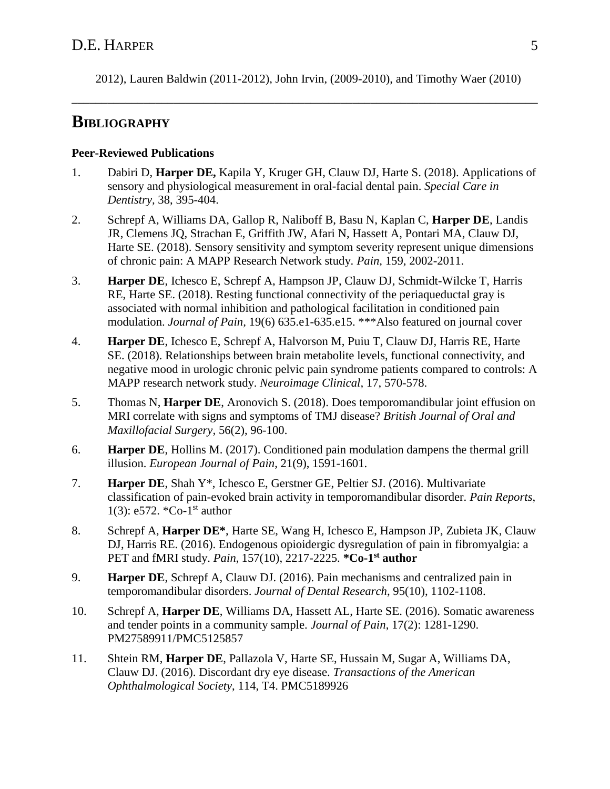2012), Lauren Baldwin (2011-2012), John Irvin, (2009-2010), and Timothy Waer (2010)

\_\_\_\_\_\_\_\_\_\_\_\_\_\_\_\_\_\_\_\_\_\_\_\_\_\_\_\_\_\_\_\_\_\_\_\_\_\_\_\_\_\_\_\_\_\_\_\_\_\_\_\_\_\_\_\_\_\_\_\_\_\_\_\_\_\_\_\_\_\_\_\_\_\_\_\_\_\_

## **BIBLIOGRAPHY**

#### **Peer-Reviewed Publications**

- 1. Dabiri D, **Harper DE,** Kapila Y, Kruger GH, Clauw DJ, Harte S. (2018). Applications of sensory and physiological measurement in oral-facial dental pain. *Special Care in Dentistry,* 38, 395-404.
- 2. Schrepf A, Williams DA, Gallop R, Naliboff B, Basu N, Kaplan C, **Harper DE**, Landis JR, Clemens JQ, Strachan E, Griffith JW, Afari N, Hassett A, Pontari MA, Clauw DJ, Harte SE. (2018). Sensory sensitivity and symptom severity represent unique dimensions of chronic pain: A MAPP Research Network study. *Pain,* 159, 2002-2011.
- 3. **Harper DE**, Ichesco E, Schrepf A, Hampson JP, Clauw DJ, Schmidt-Wilcke T, Harris RE, Harte SE. (2018). Resting functional connectivity of the periaqueductal gray is associated with normal inhibition and pathological facilitation in conditioned pain modulation. *Journal of Pain,* 19(6) 635.e1-635.e15. \*\*\*Also featured on journal cover
- 4. **Harper DE**, Ichesco E, Schrepf A, Halvorson M, Puiu T, Clauw DJ, Harris RE, Harte SE. (2018). Relationships between brain metabolite levels, functional connectivity, and negative mood in urologic chronic pelvic pain syndrome patients compared to controls: A MAPP research network study. *Neuroimage Clinical,* 17, 570-578.
- 5. Thomas N, **Harper DE**, Aronovich S. (2018). Does temporomandibular joint effusion on MRI correlate with signs and symptoms of TMJ disease? *British Journal of Oral and Maxillofacial Surgery,* 56(2), 96-100.
- 6. **Harper DE**, Hollins M. (2017). Conditioned pain modulation dampens the thermal grill illusion. *European Journal of Pain*, 21(9), 1591-1601.
- 7. **Harper DE**, Shah Y\*, Ichesco E, Gerstner GE, Peltier SJ. (2016). Multivariate classification of pain-evoked brain activity in temporomandibular disorder. *Pain Reports*, 1(3): e572. \*Co-1<sup>st</sup> author
- 8. Schrepf A, **Harper DE\***, Harte SE, Wang H, Ichesco E, Hampson JP, Zubieta JK, Clauw DJ, Harris RE. (2016). Endogenous opioidergic dysregulation of pain in fibromyalgia: a PET and fMRI study. *Pain*, 157(10), 2217-2225. **\*Co-1 st author**
- 9. **Harper DE**, Schrepf A, Clauw DJ. (2016). Pain mechanisms and centralized pain in temporomandibular disorders. *Journal of Dental Research*, 95(10), 1102-1108.
- 10. Schrepf A, **Harper DE**, Williams DA, Hassett AL, Harte SE. (2016). Somatic awareness and tender points in a community sample. *Journal of Pain*, 17(2): 1281-1290. PM27589911/PMC5125857
- 11. Shtein RM, **Harper DE**, Pallazola V, Harte SE, Hussain M, Sugar A, Williams DA, Clauw DJ. (2016). Discordant dry eye disease. *Transactions of the American Ophthalmological Society*, 114, T4. PMC5189926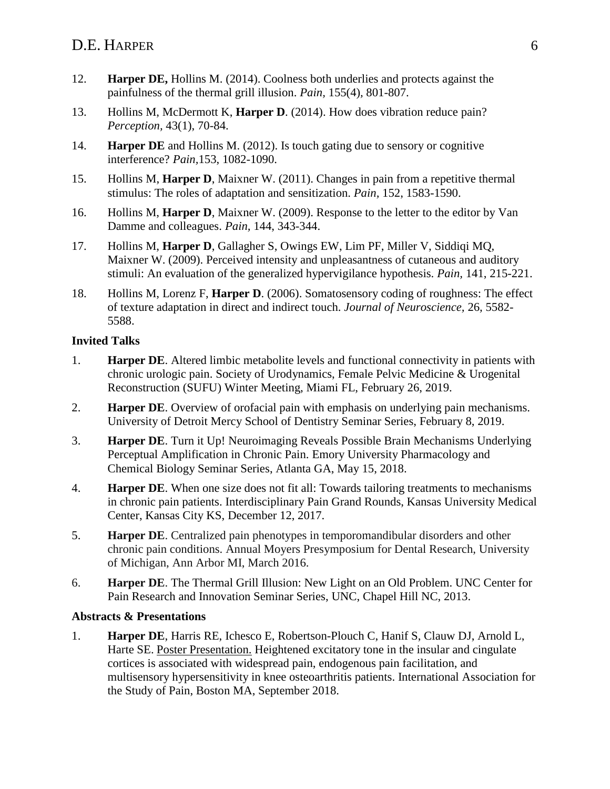- 12. **Harper DE,** Hollins M. (2014). Coolness both underlies and protects against the painfulness of the thermal grill illusion. *Pain,* 155(4)*,* 801-807.
- 13. Hollins M, McDermott K, **Harper D**. (2014). How does vibration reduce pain? *Perception,* 43(1), 70-84.
- 14. **Harper DE** and Hollins M. (2012). Is touch gating due to sensory or cognitive interference? *Pain,*153, 1082-1090.
- 15. Hollins M, **Harper D**, Maixner W. (2011). Changes in pain from a repetitive thermal stimulus: The roles of adaptation and sensitization. *Pain,* 152, 1583-1590.
- 16. Hollins M, **Harper D**, Maixner W. (2009). Response to the letter to the editor by Van Damme and colleagues. *Pain,* 144, 343-344.
- 17. Hollins M, **Harper D**, Gallagher S, Owings EW, Lim PF, Miller V, Siddiqi MQ, Maixner W. (2009). Perceived intensity and unpleasantness of cutaneous and auditory stimuli: An evaluation of the generalized hypervigilance hypothesis. *Pain,* 141, 215-221.
- 18. Hollins M, Lorenz F, **Harper D**. (2006). Somatosensory coding of roughness: The effect of texture adaptation in direct and indirect touch. *Journal of Neuroscience,* 26*,* 5582- 5588.

#### **Invited Talks**

- 1. **Harper DE**. Altered limbic metabolite levels and functional connectivity in patients with chronic urologic pain. Society of Urodynamics, Female Pelvic Medicine & Urogenital Reconstruction (SUFU) Winter Meeting, Miami FL, February 26, 2019.
- 2. **Harper DE**. Overview of orofacial pain with emphasis on underlying pain mechanisms. University of Detroit Mercy School of Dentistry Seminar Series, February 8, 2019.
- 3. **Harper DE**. Turn it Up! Neuroimaging Reveals Possible Brain Mechanisms Underlying Perceptual Amplification in Chronic Pain. Emory University Pharmacology and Chemical Biology Seminar Series, Atlanta GA, May 15, 2018.
- 4. **Harper DE**. When one size does not fit all: Towards tailoring treatments to mechanisms in chronic pain patients. Interdisciplinary Pain Grand Rounds, Kansas University Medical Center, Kansas City KS, December 12, 2017.
- 5. **Harper DE**. Centralized pain phenotypes in temporomandibular disorders and other chronic pain conditions. Annual Moyers Presymposium for Dental Research, University of Michigan, Ann Arbor MI, March 2016.
- 6. **Harper DE**. The Thermal Grill Illusion: New Light on an Old Problem. UNC Center for Pain Research and Innovation Seminar Series, UNC, Chapel Hill NC, 2013.

### **Abstracts & Presentations**

1. **Harper DE**, Harris RE, Ichesco E, Robertson-Plouch C, Hanif S, Clauw DJ, Arnold L, Harte SE. Poster Presentation. Heightened excitatory tone in the insular and cingulate cortices is associated with widespread pain, endogenous pain facilitation, and multisensory hypersensitivity in knee osteoarthritis patients. International Association for the Study of Pain, Boston MA, September 2018.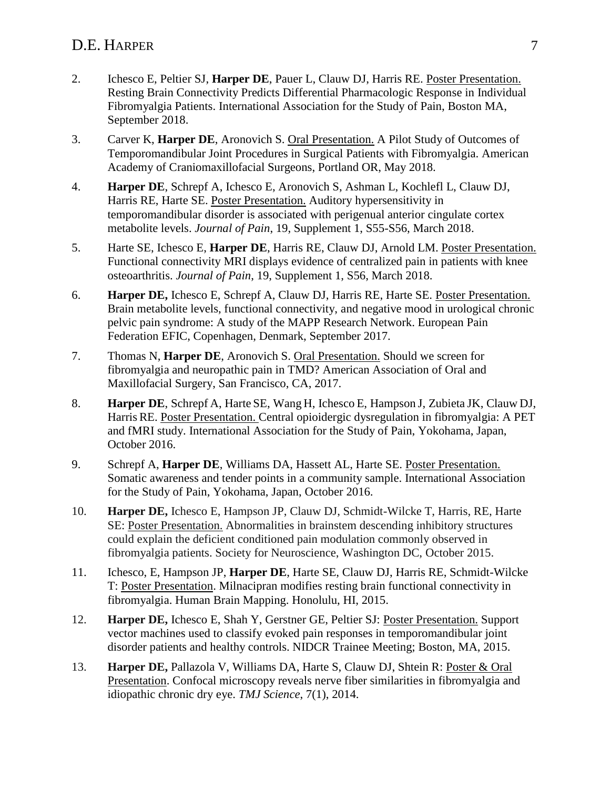### D.E. HARPER 7

- 2. Ichesco E, Peltier SJ, **Harper DE**, Pauer L, Clauw DJ, Harris RE. Poster Presentation. Resting Brain Connectivity Predicts Differential Pharmacologic Response in Individual Fibromyalgia Patients. International Association for the Study of Pain, Boston MA, September 2018.
- 3. Carver K, **Harper DE**, Aronovich S. Oral Presentation. A Pilot Study of Outcomes of Temporomandibular Joint Procedures in Surgical Patients with Fibromyalgia. American Academy of Craniomaxillofacial Surgeons, Portland OR, May 2018.
- 4. **Harper DE**, Schrepf A, Ichesco E, Aronovich S, Ashman L, Kochlefl L, Clauw DJ, Harris RE, Harte SE. Poster Presentation. Auditory hypersensitivity in temporomandibular disorder is associated with perigenual anterior cingulate cortex metabolite levels. *Journal of Pain*, 19, Supplement 1, S55-S56, March 2018.
- 5. Harte SE, Ichesco E, **Harper DE**, Harris RE, Clauw DJ, Arnold LM. Poster Presentation. Functional connectivity MRI displays evidence of centralized pain in patients with knee osteoarthritis. *Journal of Pain*, 19, Supplement 1, S56, March 2018.
- 6. **Harper DE,** Ichesco E, Schrepf A, Clauw DJ, Harris RE, Harte SE. Poster Presentation. Brain metabolite levels, functional connectivity, and negative mood in urological chronic pelvic pain syndrome: A study of the MAPP Research Network. European Pain Federation EFIC, Copenhagen, Denmark, September 2017.
- 7. Thomas N, **Harper DE**, Aronovich S. Oral Presentation. Should we screen for fibromyalgia and neuropathic pain in TMD? American Association of Oral and Maxillofacial Surgery, San Francisco, CA, 2017.
- 8. **Harper DE**, Schrepf A, Harte SE, Wang H, Ichesco E, Hampson J, Zubieta JK, Clauw DJ, Harris RE. Poster Presentation. Central opioidergic dysregulation in fibromyalgia: A PET and fMRI study. International Association for the Study of Pain, Yokohama, Japan, October 2016.
- 9. Schrepf A, **Harper DE**, Williams DA, Hassett AL, Harte SE. Poster Presentation. Somatic awareness and tender points in a community sample. International Association for the Study of Pain, Yokohama, Japan, October 2016.
- 10. **Harper DE,** Ichesco E, Hampson JP, Clauw DJ, Schmidt-Wilcke T, Harris, RE, Harte SE: Poster Presentation. Abnormalities in brainstem descending inhibitory structures could explain the deficient conditioned pain modulation commonly observed in fibromyalgia patients. Society for Neuroscience, Washington DC, October 2015.
- 11. Ichesco, E, Hampson JP, **Harper DE**, Harte SE, Clauw DJ, Harris RE, Schmidt-Wilcke T: Poster Presentation. Milnacipran modifies resting brain functional connectivity in fibromyalgia. Human Brain Mapping. Honolulu, HI, 2015.
- 12. **Harper DE,** Ichesco E, Shah Y, Gerstner GE, Peltier SJ: Poster Presentation. Support vector machines used to classify evoked pain responses in temporomandibular joint disorder patients and healthy controls. NIDCR Trainee Meeting; Boston, MA, 2015.
- 13. **Harper DE,** Pallazola V, Williams DA, Harte S, Clauw DJ, Shtein R: Poster & Oral Presentation. Confocal microscopy reveals nerve fiber similarities in fibromyalgia and idiopathic chronic dry eye. *TMJ Science*, 7(1), 2014.